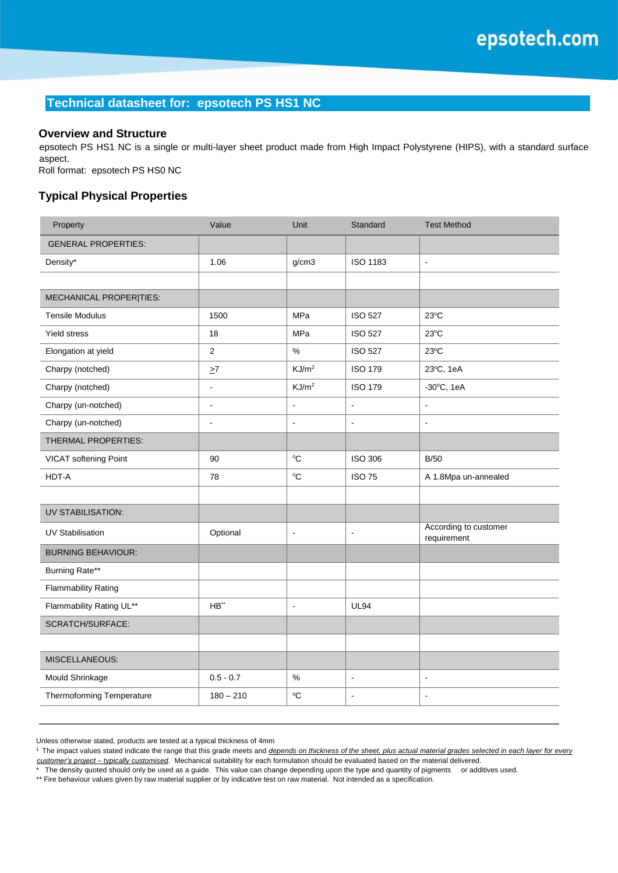## **Technical datasheet for: epsotech PS HS1 NC**

#### **Overview and Structure**

epsotech PS HS1 NC is a single or multi-layer sheet product made from High Impact Polystyrene (HIPS), with a standard surface aspect.

Roll format: epsotech PS HS0 NC

## **Typical Physical Properties**

| Property                   | Value                | Unit              | Standard                 | <b>Test Method</b>                   |
|----------------------------|----------------------|-------------------|--------------------------|--------------------------------------|
| <b>GENERAL PROPERTIES:</b> |                      |                   |                          |                                      |
| Density*                   | 1.06                 | g/cm3             | ISO 1183                 | $\blacksquare$                       |
|                            |                      |                   |                          |                                      |
| MECHANICAL PROPER TIES:    |                      |                   |                          |                                      |
| <b>Tensile Modulus</b>     | 1500                 | MPa               | <b>ISO 527</b>           | $23^{\circ}$ C                       |
| <b>Yield stress</b>        | 18                   | MPa               | <b>ISO 527</b>           | $23^{\circ}$ C                       |
| Elongation at yield        | $\overline{2}$       | $\%$              | <b>ISO 527</b>           | $23^{\circ}$ C                       |
| Charpy (notched)           | $\geq 7$             | KJ/m <sup>2</sup> | <b>ISO 179</b>           | 23°C, 1eA                            |
| Charpy (notched)           | $\ddot{\phantom{a}}$ | KJ/m <sup>2</sup> | <b>ISO 179</b>           | $-30^{\circ}$ C, 1eA                 |
| Charpy (un-notched)        | $\ddot{\phantom{a}}$ | $\blacksquare$    | $\blacksquare$           | $\overline{a}$                       |
| Charpy (un-notched)        | $\blacksquare$       | $\blacksquare$    | $\overline{\phantom{a}}$ | $\blacksquare$                       |
| THERMAL PROPERTIES:        |                      |                   |                          |                                      |
| VICAT softening Point      | 90                   | $\rm ^{\circ}C$   | <b>ISO 306</b>           | B/50                                 |
| HDT-A                      | 78                   | $\rm ^{\circ}C$   | <b>ISO 75</b>            | A 1.8Mpa un-annealed                 |
|                            |                      |                   |                          |                                      |
| <b>UV STABILISATION:</b>   |                      |                   |                          |                                      |
| <b>UV Stabilisation</b>    | Optional             | $\blacksquare$    | $\blacksquare$           | According to customer<br>requirement |
| <b>BURNING BEHAVIOUR:</b>  |                      |                   |                          |                                      |
| Burning Rate**             |                      |                   |                          |                                      |
| <b>Flammability Rating</b> |                      |                   |                          |                                      |
| Flammability Rating UL**   | HB**                 | $\overline{a}$    | <b>UL94</b>              |                                      |
| SCRATCH/SURFACE:           |                      |                   |                          |                                      |
|                            |                      |                   |                          |                                      |
| MISCELLANEOUS:             |                      |                   |                          |                                      |
| Mould Shrinkage            | $0.5 - 0.7$          | $\%$              | $\blacksquare$           | $\blacksquare$                       |
| Thermoforming Temperature  | $180 - 210$          | $\rm ^{o}C$       | $\overline{\phantom{a}}$ | $\blacksquare$                       |
|                            |                      |                   |                          |                                      |

Unless otherwise stated, products are tested at a typical thickness of 4mm

<sup>&</sup>lt;sup>1</sup> The impact values stated indicate the range that this grade meets and *depends on thickness of the sheet, plus actual material grades selected in each layer for every customer's project – typically customised*. Mechanical suitability for each formulation should be evaluated based on the material delivered.

The density quoted should only be used as a guide. This value can change depending upon the type and quantity of pigments or additives used.

<sup>\*\*</sup> Fire behaviour values given by raw material supplier or by indicative test on raw material. Not intended as a specification.